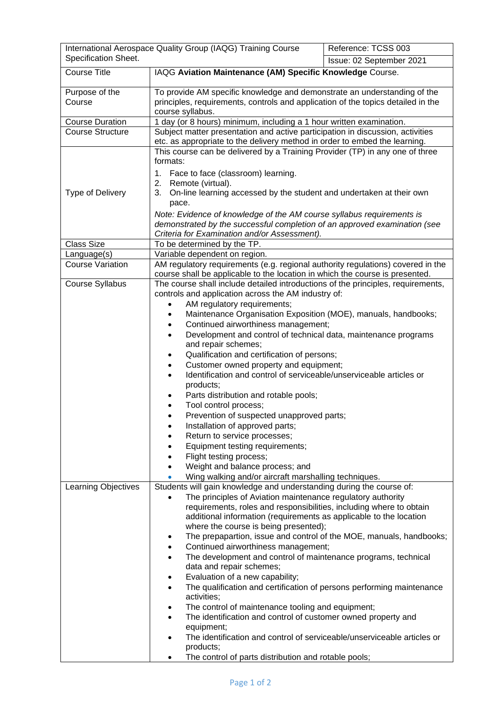|                                        | International Aerospace Quality Group (IAQG) Training Course                                                                                                                                                                                                                                                                                                                                                                                                                                                                                                                                                                                                                                                                                                                                                                                                                                                                                                                                                                         | Reference: TCSS 003      |  |
|----------------------------------------|--------------------------------------------------------------------------------------------------------------------------------------------------------------------------------------------------------------------------------------------------------------------------------------------------------------------------------------------------------------------------------------------------------------------------------------------------------------------------------------------------------------------------------------------------------------------------------------------------------------------------------------------------------------------------------------------------------------------------------------------------------------------------------------------------------------------------------------------------------------------------------------------------------------------------------------------------------------------------------------------------------------------------------------|--------------------------|--|
| Specification Sheet.                   |                                                                                                                                                                                                                                                                                                                                                                                                                                                                                                                                                                                                                                                                                                                                                                                                                                                                                                                                                                                                                                      | Issue: 02 September 2021 |  |
| <b>Course Title</b>                    | IAQG Aviation Maintenance (AM) Specific Knowledge Course.                                                                                                                                                                                                                                                                                                                                                                                                                                                                                                                                                                                                                                                                                                                                                                                                                                                                                                                                                                            |                          |  |
| Purpose of the<br>Course               | To provide AM specific knowledge and demonstrate an understanding of the<br>principles, requirements, controls and application of the topics detailed in the<br>course syllabus.                                                                                                                                                                                                                                                                                                                                                                                                                                                                                                                                                                                                                                                                                                                                                                                                                                                     |                          |  |
| <b>Course Duration</b>                 | 1 day (or 8 hours) minimum, including a 1 hour written examination.                                                                                                                                                                                                                                                                                                                                                                                                                                                                                                                                                                                                                                                                                                                                                                                                                                                                                                                                                                  |                          |  |
| <b>Course Structure</b>                | Subject matter presentation and active participation in discussion, activities<br>etc. as appropriate to the delivery method in order to embed the learning.                                                                                                                                                                                                                                                                                                                                                                                                                                                                                                                                                                                                                                                                                                                                                                                                                                                                         |                          |  |
| Type of Delivery                       | This course can be delivered by a Training Provider (TP) in any one of three<br>formats:<br>1. Face to face (classroom) learning.<br>2. Remote (virtual).<br>3.<br>On-line learning accessed by the student and undertaken at their own<br>pace.<br>Note: Evidence of knowledge of the AM course syllabus requirements is<br>demonstrated by the successful completion of an approved examination (see<br>Criteria for Examination and/or Assessment).                                                                                                                                                                                                                                                                                                                                                                                                                                                                                                                                                                               |                          |  |
| <b>Class Size</b>                      | To be determined by the TP.                                                                                                                                                                                                                                                                                                                                                                                                                                                                                                                                                                                                                                                                                                                                                                                                                                                                                                                                                                                                          |                          |  |
| Language(s)<br><b>Course Variation</b> | Variable dependent on region.                                                                                                                                                                                                                                                                                                                                                                                                                                                                                                                                                                                                                                                                                                                                                                                                                                                                                                                                                                                                        |                          |  |
|                                        | AM regulatory requirements (e.g. regional authority regulations) covered in the<br>course shall be applicable to the location in which the course is presented.                                                                                                                                                                                                                                                                                                                                                                                                                                                                                                                                                                                                                                                                                                                                                                                                                                                                      |                          |  |
| Course Syllabus                        | The course shall include detailed introductions of the principles, requirements,<br>controls and application across the AM industry of:<br>AM regulatory requirements;<br>Maintenance Organisation Exposition (MOE), manuals, handbooks;<br>$\bullet$<br>Continued airworthiness management;<br>$\bullet$<br>Development and control of technical data, maintenance programs<br>$\bullet$<br>and repair schemes;<br>Qualification and certification of persons;<br>٠<br>Customer owned property and equipment;<br>$\bullet$<br>Identification and control of serviceable/unserviceable articles or<br>$\bullet$<br>products;<br>Parts distribution and rotable pools;<br>Tool control process;<br>Prevention of suspected unapproved parts;<br>Installation of approved parts;<br>٠<br>Return to service processes;<br>Equipment testing requirements;<br>Flight testing process;<br>٠<br>Weight and balance process; and<br>Wing walking and/or aircraft marshalling techniques.                                                    |                          |  |
| Learning Objectives                    | Students will gain knowledge and understanding during the course of:<br>The principles of Aviation maintenance regulatory authority<br>$\bullet$<br>requirements, roles and responsibilities, including where to obtain<br>additional information (requirements as applicable to the location<br>where the course is being presented);<br>The prepapartion, issue and control of the MOE, manuals, handbooks;<br>٠<br>Continued airworthiness management;<br>٠<br>The development and control of maintenance programs, technical<br>$\bullet$<br>data and repair schemes;<br>Evaluation of a new capability;<br>٠<br>The qualification and certification of persons performing maintenance<br>$\bullet$<br>activities;<br>The control of maintenance tooling and equipment;<br>The identification and control of customer owned property and<br>$\bullet$<br>equipment;<br>The identification and control of serviceable/unserviceable articles or<br>$\bullet$<br>products;<br>The control of parts distribution and rotable pools; |                          |  |